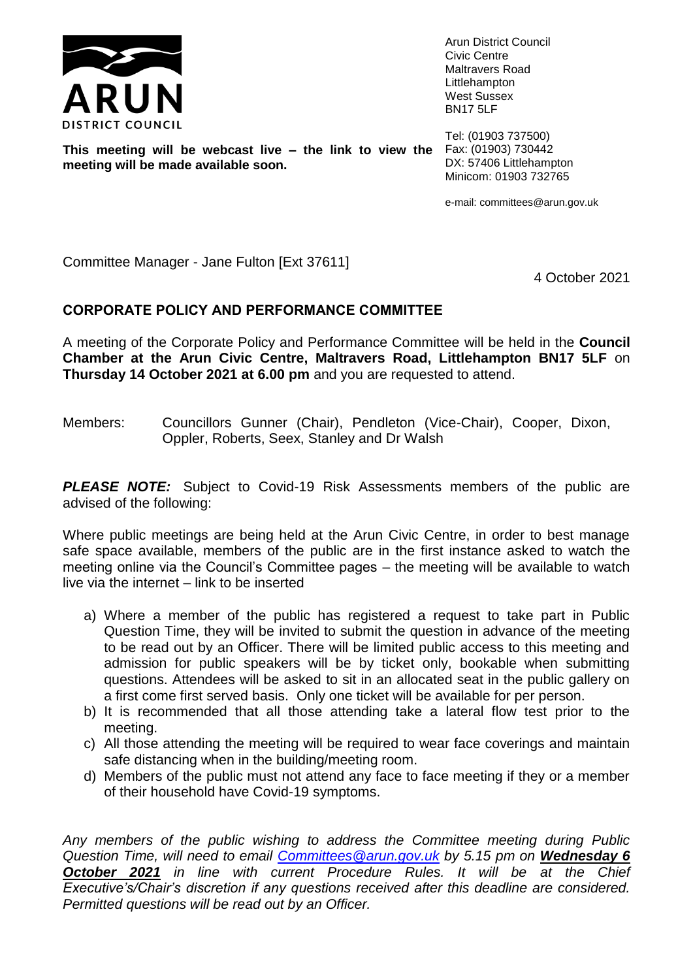

Arun District Council Civic Centre Maltravers Road Littlehampton West Sussex BN17 5LF

**This meeting will be webcast live – the link to view the meeting will be made available soon.**

Tel: (01903 737500) Fax: (01903) 730442 DX: 57406 Littlehampton Minicom: 01903 732765

e-mail: committees@arun.gov.uk

Committee Manager - Jane Fulton [Ext 37611]

4 October 2021

## **CORPORATE POLICY AND PERFORMANCE COMMITTEE**

A meeting of the Corporate Policy and Performance Committee will be held in the **Council Chamber at the Arun Civic Centre, Maltravers Road, Littlehampton BN17 5LF** on **Thursday 14 October 2021 at 6.00 pm** and you are requested to attend.

Members: Councillors Gunner (Chair), Pendleton (Vice-Chair), Cooper, Dixon, Oppler, Roberts, Seex, Stanley and Dr Walsh

**PLEASE NOTE:** Subject to Covid-19 Risk Assessments members of the public are advised of the following:

Where public meetings are being held at the Arun Civic Centre, in order to best manage safe space available, members of the public are in the first instance asked to watch the meeting online via the Council's Committee pages – the meeting will be available to watch live via the internet – link to be inserted

- a) Where a member of the public has registered a request to take part in Public Question Time, they will be invited to submit the question in advance of the meeting to be read out by an Officer. There will be limited public access to this meeting and admission for public speakers will be by ticket only, bookable when submitting questions. Attendees will be asked to sit in an allocated seat in the public gallery on a first come first served basis. Only one ticket will be available for per person.
- b) It is recommended that all those attending take a lateral flow test prior to the meeting.
- c) All those attending the meeting will be required to wear face coverings and maintain safe distancing when in the building/meeting room.
- d) Members of the public must not attend any face to face meeting if they or a member of their household have Covid-19 symptoms.

*Any members of the public wishing to address the Committee meeting during Public Question Time, will need to email [Committees@arun.gov.uk](mailto:Committees@arun.gov.uk) by 5.15 pm on Wednesday 6 October 2021 in line with current Procedure Rules. It will be at the Chief Executive's/Chair's discretion if any questions received after this deadline are considered. Permitted questions will be read out by an Officer.*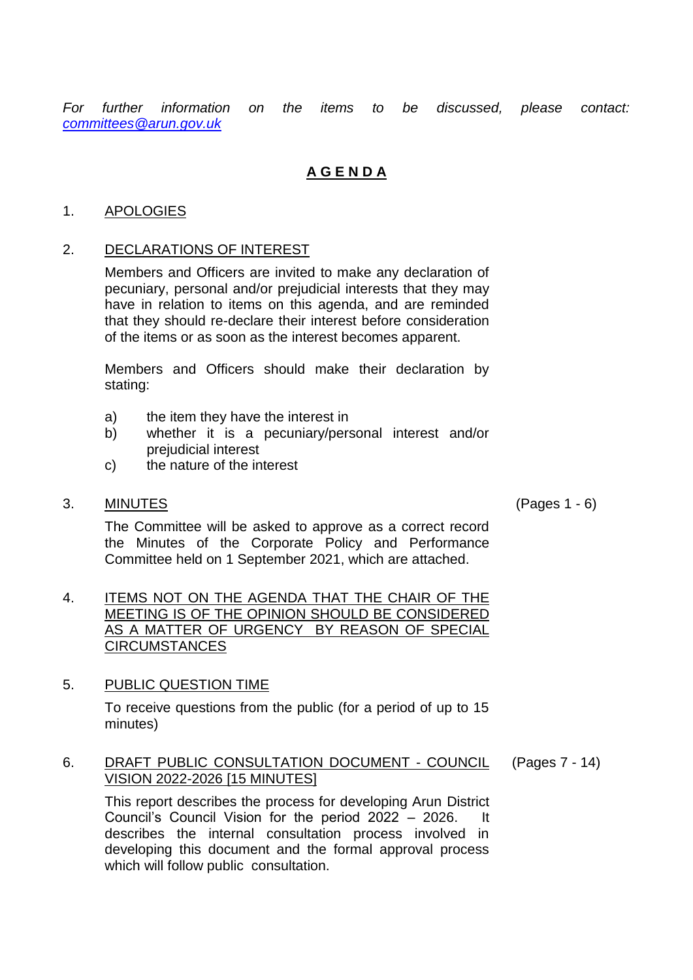*For further information on the items to be discussed, please contact: [committees@arun.gov.uk](mailto:committees@arun.gov.uk)*

# **A G E N D A**

## 1. APOLOGIES

## 2. DECLARATIONS OF INTEREST

Members and Officers are invited to make any declaration of pecuniary, personal and/or prejudicial interests that they may have in relation to items on this agenda, and are reminded that they should re-declare their interest before consideration of the items or as soon as the interest becomes apparent.

Members and Officers should make their declaration by stating:

- a) the item they have the interest in
- b) whether it is a pecuniary/personal interest and/or prejudicial interest
- c) the nature of the interest

#### 3. MINUTES (Pages 1 - 6)

The Committee will be asked to approve as a correct record the Minutes of the Corporate Policy and Performance Committee held on 1 September 2021, which are attached.

4. ITEMS NOT ON THE AGENDA THAT THE CHAIR OF THE MEETING IS OF THE OPINION SHOULD BE CONSIDERED AS A MATTER OF URGENCY BY REASON OF SPECIAL **CIRCUMSTANCES** 

#### 5. PUBLIC QUESTION TIME

To receive questions from the public (for a period of up to 15 minutes)

#### 6. DRAFT PUBLIC CONSULTATION DOCUMENT - COUNCIL VISION 2022-2026 [15 MINUTES] (Pages 7 - 14)

This report describes the process for developing Arun District Council's Council Vision for the period 2022 – 2026. It describes the internal consultation process involved in developing this document and the formal approval process which will follow public consultation.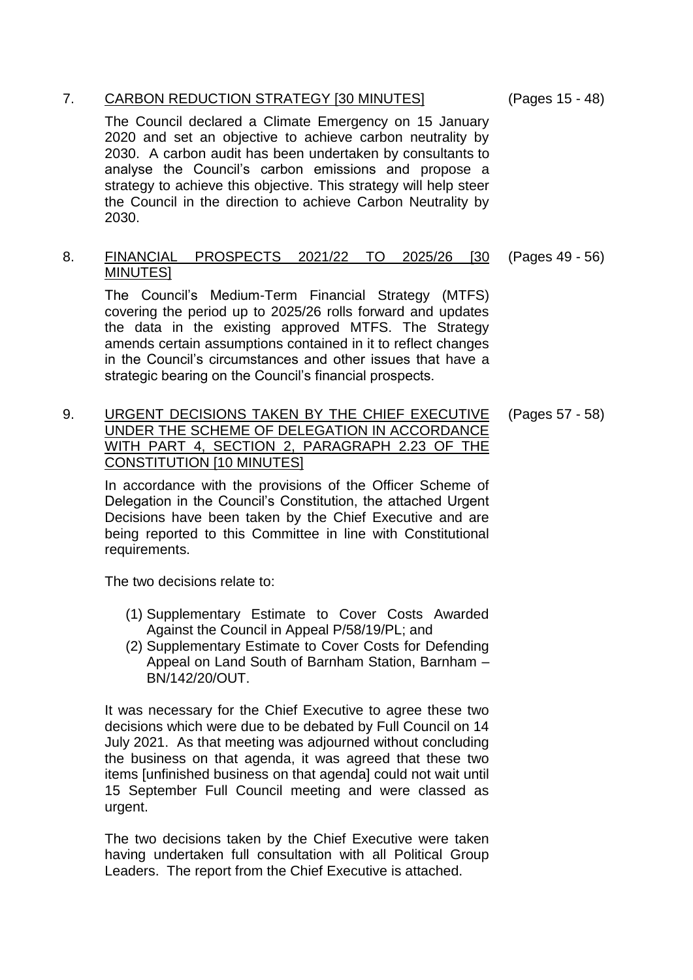## 7. CARBON REDUCTION STRATEGY [30 MINUTES] (Pages 15 - 48)

The Council declared a Climate Emergency on 15 January 2020 and set an objective to achieve carbon neutrality by 2030. A carbon audit has been undertaken by consultants to analyse the Council's carbon emissions and propose a strategy to achieve this objective. This strategy will help steer the Council in the direction to achieve Carbon Neutrality by 2030.

8. FINANCIAL PROSPECTS 2021/22 TO 2025/26 [30 MINUTES] (Pages 49 - 56)

The Council's Medium-Term Financial Strategy (MTFS) covering the period up to 2025/26 rolls forward and updates the data in the existing approved MTFS. The Strategy amends certain assumptions contained in it to reflect changes in the Council's circumstances and other issues that have a strategic bearing on the Council's financial prospects.

9. URGENT DECISIONS TAKEN BY THE CHIEF EXECUTIVE UNDER THE SCHEME OF DELEGATION IN ACCORDANCE WITH PART 4, SECTION 2, PARAGRAPH 2.23 OF THE CONSTITUTION [10 MINUTES]

In accordance with the provisions of the Officer Scheme of Delegation in the Council's Constitution, the attached Urgent Decisions have been taken by the Chief Executive and are being reported to this Committee in line with Constitutional requirements.

The two decisions relate to:

- (1) Supplementary Estimate to Cover Costs Awarded Against the Council in Appeal P/58/19/PL; and
- (2) Supplementary Estimate to Cover Costs for Defending Appeal on Land South of Barnham Station, Barnham – BN/142/20/OUT.

It was necessary for the Chief Executive to agree these two decisions which were due to be debated by Full Council on 14 July 2021. As that meeting was adjourned without concluding the business on that agenda, it was agreed that these two items [unfinished business on that agenda] could not wait until 15 September Full Council meeting and were classed as urgent.

The two decisions taken by the Chief Executive were taken having undertaken full consultation with all Political Group Leaders. The report from the Chief Executive is attached.

(Pages 57 - 58)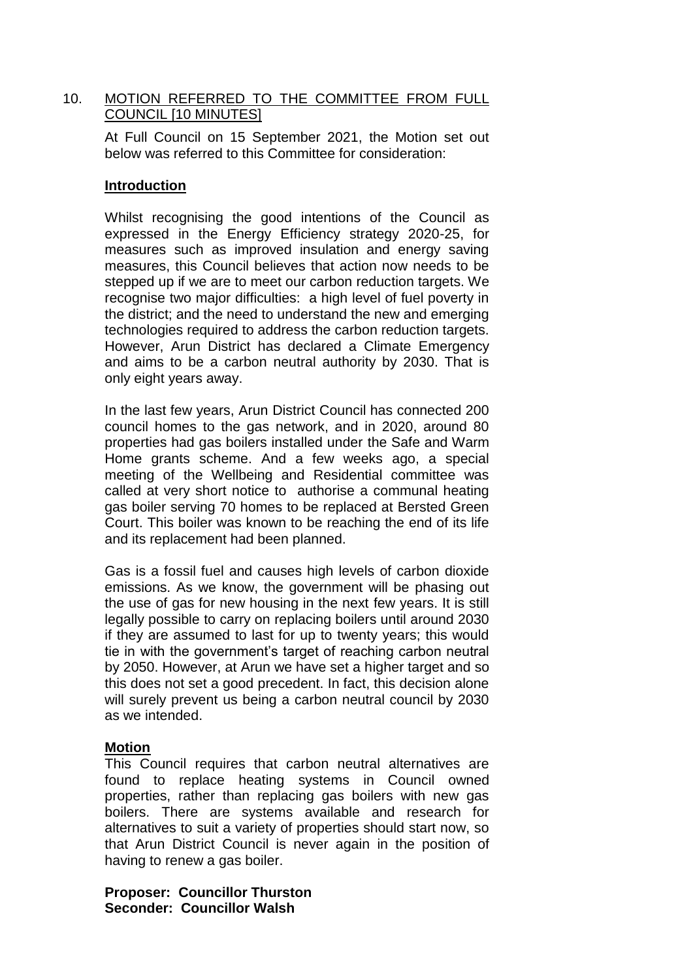## 10. MOTION REFERRED TO THE COMMITTEE FROM FULL COUNCIL [10 MINUTES]

At Full Council on 15 September 2021, the Motion set out below was referred to this Committee for consideration:

#### **Introduction**

Whilst recognising the good intentions of the Council as expressed in the Energy Efficiency strategy 2020-25, for measures such as improved insulation and energy saving measures, this Council believes that action now needs to be stepped up if we are to meet our carbon reduction targets. We recognise two major difficulties: a high level of fuel poverty in the district; and the need to understand the new and emerging technologies required to address the carbon reduction targets. However, Arun District has declared a Climate Emergency and aims to be a carbon neutral authority by 2030. That is only eight years away.

In the last few years, Arun District Council has connected 200 council homes to the gas network, and in 2020, around 80 properties had gas boilers installed under the Safe and Warm Home grants scheme. And a few weeks ago, a special meeting of the Wellbeing and Residential committee was called at very short notice to authorise a communal heating gas boiler serving 70 homes to be replaced at Bersted Green Court. This boiler was known to be reaching the end of its life and its replacement had been planned.

Gas is a fossil fuel and causes high levels of carbon dioxide emissions. As we know, the government will be phasing out the use of gas for new housing in the next few years. It is still legally possible to carry on replacing boilers until around 2030 if they are assumed to last for up to twenty years; this would tie in with the government's target of reaching carbon neutral by 2050. However, at Arun we have set a higher target and so this does not set a good precedent. In fact, this decision alone will surely prevent us being a carbon neutral council by 2030 as we intended.

#### **Motion**

This Council requires that carbon neutral alternatives are found to replace heating systems in Council owned properties, rather than replacing gas boilers with new gas boilers. There are systems available and research for alternatives to suit a variety of properties should start now, so that Arun District Council is never again in the position of having to renew a gas boiler.

**Proposer: Councillor Thurston Seconder: Councillor Walsh**